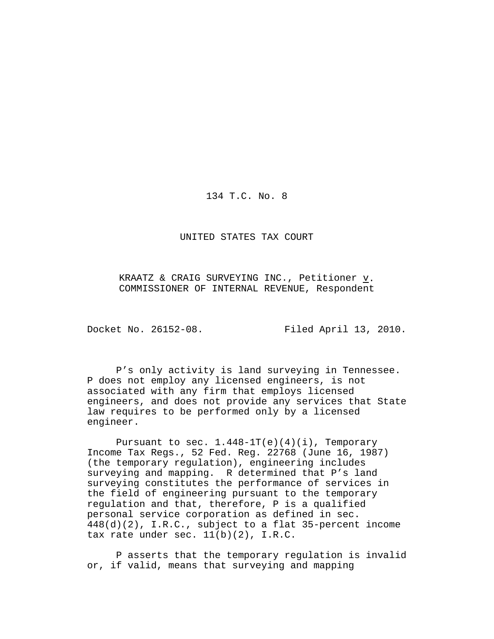134 T.C. No. 8

UNITED STATES TAX COURT

KRAATZ & CRAIG SURVEYING INC., Petitioner v. COMMISSIONER OF INTERNAL REVENUE, Respondent

Docket No. 26152-08. Filed April 13, 2010.

P's only activity is land surveying in Tennessee. P does not employ any licensed engineers, is not associated with any firm that employs licensed engineers, and does not provide any services that State law requires to be performed only by a licensed engineer.

Pursuant to sec.  $1.448-1T(e)(4)(i)$ , Temporary Income Tax Regs., 52 Fed. Reg. 22768 (June 16, 1987) (the temporary regulation), engineering includes surveying and mapping. R determined that P's land surveying constitutes the performance of services in the field of engineering pursuant to the temporary regulation and that, therefore, P is a qualified personal service corporation as defined in sec. 448(d)(2), I.R.C., subject to a flat 35-percent income tax rate under sec.  $11(b)(2)$ , I.R.C.

P asserts that the temporary regulation is invalid or, if valid, means that surveying and mapping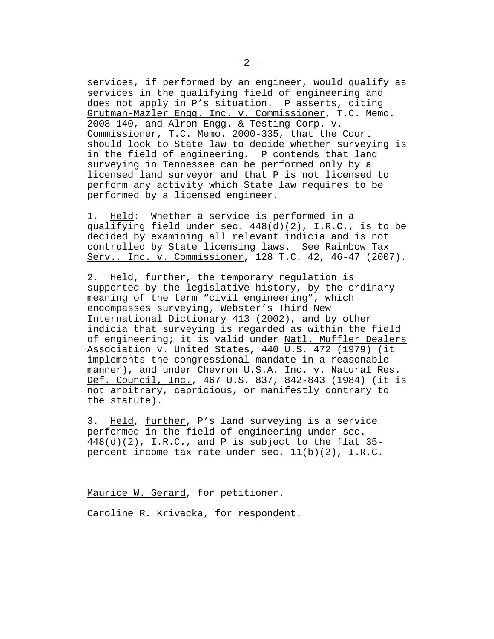services, if performed by an engineer, would qualify as services in the qualifying field of engineering and does not apply in P's situation. P asserts, citing Grutman-Mazler Engg. Inc. v. Commissioner, T.C. Memo. 2008-140, and Alron Engg. & Testing Corp. v. Commissioner, T.C. Memo. 2000-335, that the Court should look to State law to decide whether surveying is in the field of engineering. P contends that land surveying in Tennessee can be performed only by a licensed land surveyor and that P is not licensed to perform any activity which State law requires to be performed by a licensed engineer.

1. Held: Whether a service is performed in a qualifying field under sec. 448(d)(2), I.R.C., is to be decided by examining all relevant indicia and is not controlled by State licensing laws. See Rainbow Tax Serv., Inc. v. Commissioner, 128 T.C. 42, 46-47 (2007).

2. Held, further, the temporary regulation is supported by the legislative history, by the ordinary meaning of the term "civil engineering", which encompasses surveying, Webster's Third New International Dictionary 413 (2002), and by other indicia that surveying is regarded as within the field of engineering; it is valid under Natl. Muffler Dealers Association v. United States, 440 U.S. 472 (1979) (it implements the congressional mandate in a reasonable manner), and under Chevron U.S.A. Inc. v. Natural Res. Def. Council, Inc., 467 U.S. 837, 842-843 (1984) (it is not arbitrary, capricious, or manifestly contrary to the statute).

3. Held, further, P's land surveying is a service performed in the field of engineering under sec.  $448(d)(2)$ , I.R.C., and P is subject to the flat 35percent income tax rate under sec. 11(b)(2), I.R.C.

Maurice W. Gerard, for petitioner.

Caroline R. Krivacka, for respondent.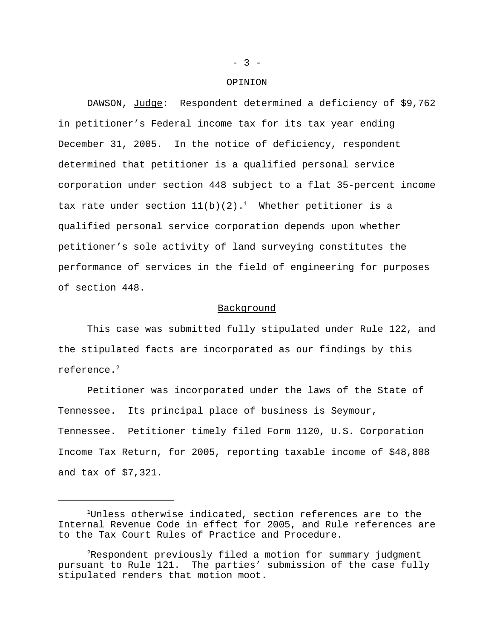#### OPINION

DAWSON, Judge: Respondent determined a deficiency of \$9,762 in petitioner's Federal income tax for its tax year ending December 31, 2005. In the notice of deficiency, respondent determined that petitioner is a qualified personal service corporation under section 448 subject to a flat 35-percent income tax rate under section  $11(b)(2)$ .<sup>1</sup> Whether petitioner is a qualified personal service corporation depends upon whether petitioner's sole activity of land surveying constitutes the performance of services in the field of engineering for purposes of section 448.

#### Background

This case was submitted fully stipulated under Rule 122, and the stipulated facts are incorporated as our findings by this reference.<sup>2</sup>

Petitioner was incorporated under the laws of the State of Tennessee. Its principal place of business is Seymour, Tennessee. Petitioner timely filed Form 1120, U.S. Corporation Income Tax Return, for 2005, reporting taxable income of \$48,808 and tax of \$7,321.

 $- 3 -$ 

<sup>&</sup>lt;sup>1</sup>Unless otherwise indicated, section references are to the Internal Revenue Code in effect for 2005, and Rule references are to the Tax Court Rules of Practice and Procedure.

<sup>2</sup>Respondent previously filed a motion for summary judgment pursuant to Rule 121. The parties' submission of the case fully stipulated renders that motion moot.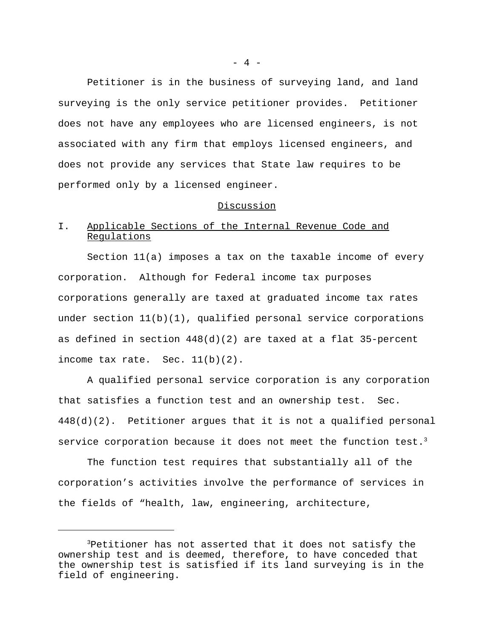Petitioner is in the business of surveying land, and land surveying is the only service petitioner provides. Petitioner does not have any employees who are licensed engineers, is not associated with any firm that employs licensed engineers, and does not provide any services that State law requires to be performed only by a licensed engineer.

### Discussion

# I. Applicable Sections of the Internal Revenue Code and Regulations

Section 11(a) imposes a tax on the taxable income of every corporation. Although for Federal income tax purposes corporations generally are taxed at graduated income tax rates under section 11(b)(1), qualified personal service corporations as defined in section 448(d)(2) are taxed at a flat 35-percent income tax rate. Sec. 11(b)(2).

A qualified personal service corporation is any corporation that satisfies a function test and an ownership test. Sec. 448(d)(2). Petitioner argues that it is not a qualified personal service corporation because it does not meet the function test.<sup>3</sup>

The function test requires that substantially all of the corporation's activities involve the performance of services in the fields of "health, law, engineering, architecture,

<sup>3</sup>Petitioner has not asserted that it does not satisfy the ownership test and is deemed, therefore, to have conceded that the ownership test is satisfied if its land surveying is in the field of engineering.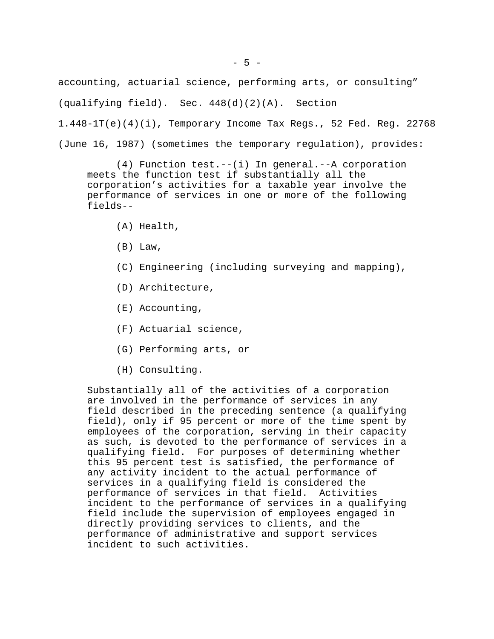$-5 -$ 

accounting, actuarial science, performing arts, or consulting"

(qualifying field). Sec. 448(d)(2)(A). Section

 $1.448-1T(e)(4)(i)$ , Temporary Income Tax Regs., 52 Fed. Reg. 22768

(June 16, 1987) (sometimes the temporary regulation), provides:

(4) Function test.--(i) In general.--A corporation meets the function test if substantially all the corporation's activities for a taxable year involve the performance of services in one or more of the following fields--

- (A) Health,
- (B) Law,
- (C) Engineering (including surveying and mapping),
- (D) Architecture,
- (E) Accounting,
- (F) Actuarial science,
- (G) Performing arts, or
- (H) Consulting.

Substantially all of the activities of a corporation are involved in the performance of services in any field described in the preceding sentence (a qualifying field), only if 95 percent or more of the time spent by employees of the corporation, serving in their capacity as such, is devoted to the performance of services in a qualifying field. For purposes of determining whether this 95 percent test is satisfied, the performance of any activity incident to the actual performance of services in a qualifying field is considered the performance of services in that field. Activities incident to the performance of services in a qualifying field include the supervision of employees engaged in directly providing services to clients, and the performance of administrative and support services incident to such activities.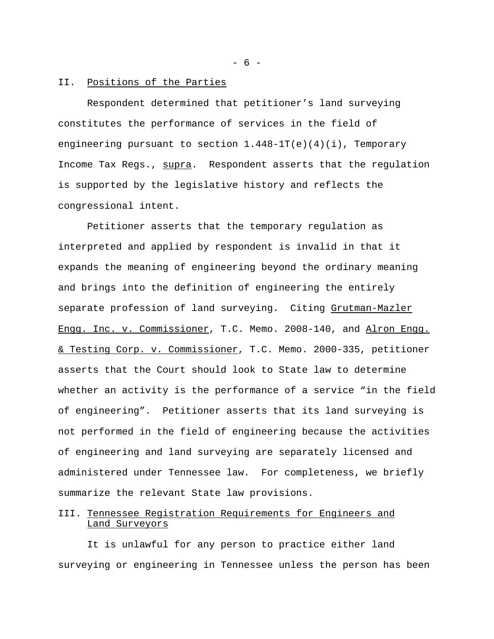### II. Positions of the Parties

Respondent determined that petitioner's land surveying constitutes the performance of services in the field of engineering pursuant to section  $1.448-1T(e)(4)(i)$ , Temporary Income Tax Regs., supra. Respondent asserts that the regulation is supported by the legislative history and reflects the congressional intent.

Petitioner asserts that the temporary regulation as interpreted and applied by respondent is invalid in that it expands the meaning of engineering beyond the ordinary meaning and brings into the definition of engineering the entirely separate profession of land surveying. Citing Grutman-Mazler Engg. Inc. v. Commissioner, T.C. Memo. 2008-140, and Alron Engg. & Testing Corp. v. Commissioner, T.C. Memo. 2000-335, petitioner asserts that the Court should look to State law to determine whether an activity is the performance of a service "in the field of engineering". Petitioner asserts that its land surveying is not performed in the field of engineering because the activities of engineering and land surveying are separately licensed and administered under Tennessee law. For completeness, we briefly summarize the relevant State law provisions.

# III. Tennessee Registration Requirements for Engineers and Land Surveyors

It is unlawful for any person to practice either land surveying or engineering in Tennessee unless the person has been

- 6 -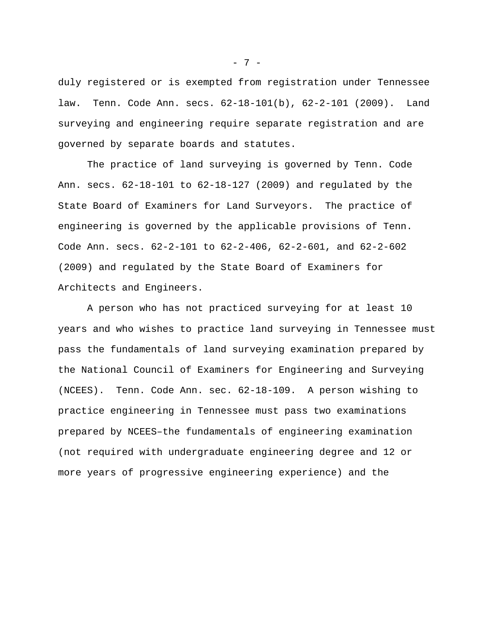duly registered or is exempted from registration under Tennessee law. Tenn. Code Ann. secs. 62-18-101(b), 62-2-101 (2009). Land surveying and engineering require separate registration and are governed by separate boards and statutes.

The practice of land surveying is governed by Tenn. Code Ann. secs. 62-18-101 to 62-18-127 (2009) and regulated by the State Board of Examiners for Land Surveyors. The practice of engineering is governed by the applicable provisions of Tenn. Code Ann. secs. 62-2-101 to 62-2-406, 62-2-601, and 62-2-602 (2009) and regulated by the State Board of Examiners for Architects and Engineers.

A person who has not practiced surveying for at least 10 years and who wishes to practice land surveying in Tennessee must pass the fundamentals of land surveying examination prepared by the National Council of Examiners for Engineering and Surveying (NCEES). Tenn. Code Ann. sec. 62-18-109. A person wishing to practice engineering in Tennessee must pass two examinations prepared by NCEES–the fundamentals of engineering examination (not required with undergraduate engineering degree and 12 or more years of progressive engineering experience) and the

- 7 -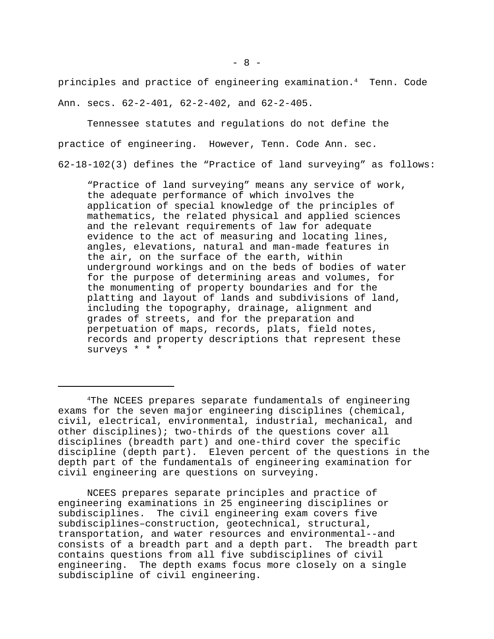principles and practice of engineering examination.<sup>4</sup> Tenn. Code Ann. secs. 62-2-401, 62-2-402, and 62-2-405.

Tennessee statutes and regulations do not define the practice of engineering. However, Tenn. Code Ann. sec. 62-18-102(3) defines the "Practice of land surveying" as follows:

"Practice of land surveying" means any service of work, the adequate performance of which involves the application of special knowledge of the principles of mathematics, the related physical and applied sciences and the relevant requirements of law for adequate evidence to the act of measuring and locating lines, angles, elevations, natural and man-made features in the air, on the surface of the earth, within underground workings and on the beds of bodies of water for the purpose of determining areas and volumes, for the monumenting of property boundaries and for the platting and layout of lands and subdivisions of land, including the topography, drainage, alignment and grades of streets, and for the preparation and perpetuation of maps, records, plats, field notes, records and property descriptions that represent these surveys \* \* \*

NCEES prepares separate principles and practice of engineering examinations in 25 engineering disciplines or subdisciplines. The civil engineering exam covers five subdisciplines–construction, geotechnical, structural, transportation, and water resources and environmental--and consists of a breadth part and a depth part. The breadth part contains questions from all five subdisciplines of civil engineering. The depth exams focus more closely on a single subdiscipline of civil engineering.

<sup>4</sup>The NCEES prepares separate fundamentals of engineering exams for the seven major engineering disciplines (chemical, civil, electrical, environmental, industrial, mechanical, and other disciplines); two-thirds of the questions cover all disciplines (breadth part) and one-third cover the specific discipline (depth part). Eleven percent of the questions in the depth part of the fundamentals of engineering examination for civil engineering are questions on surveying.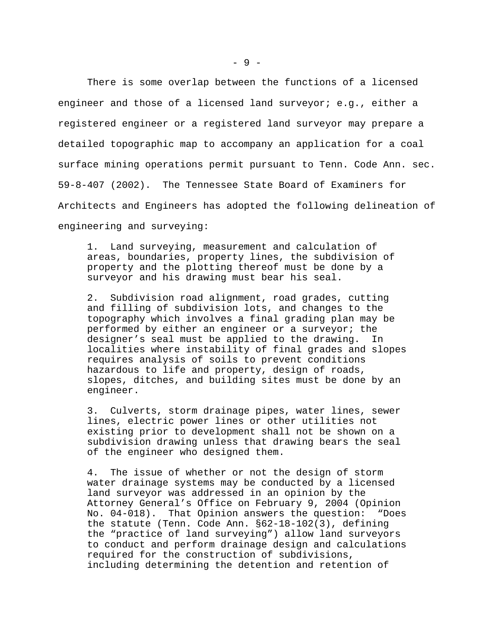There is some overlap between the functions of a licensed engineer and those of a licensed land surveyor; e.g., either a registered engineer or a registered land surveyor may prepare a detailed topographic map to accompany an application for a coal surface mining operations permit pursuant to Tenn. Code Ann. sec. 59-8-407 (2002). The Tennessee State Board of Examiners for Architects and Engineers has adopted the following delineation of engineering and surveying:

1. Land surveying, measurement and calculation of areas, boundaries, property lines, the subdivision of property and the plotting thereof must be done by a surveyor and his drawing must bear his seal.

2. Subdivision road alignment, road grades, cutting and filling of subdivision lots, and changes to the topography which involves a final grading plan may be performed by either an engineer or a surveyor; the designer's seal must be applied to the drawing. In localities where instability of final grades and slopes requires analysis of soils to prevent conditions hazardous to life and property, design of roads, slopes, ditches, and building sites must be done by an engineer.

3. Culverts, storm drainage pipes, water lines, sewer lines, electric power lines or other utilities not existing prior to development shall not be shown on a subdivision drawing unless that drawing bears the seal of the engineer who designed them.

4. The issue of whether or not the design of storm water drainage systems may be conducted by a licensed land surveyor was addressed in an opinion by the Attorney General's Office on February 9, 2004 (Opinion No. 04-018). That Opinion answers the question: "Does the statute (Tenn. Code Ann. §62-18-102(3), defining the "practice of land surveying") allow land surveyors to conduct and perform drainage design and calculations required for the construction of subdivisions, including determining the detention and retention of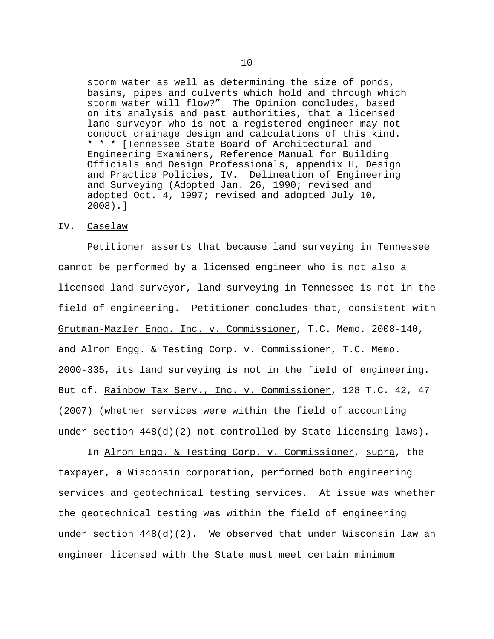storm water as well as determining the size of ponds, basins, pipes and culverts which hold and through which storm water will flow?" The Opinion concludes, based on its analysis and past authorities, that a licensed land surveyor who is not a registered engineer may not conduct drainage design and calculations of this kind. \* \* \* [Tennessee State Board of Architectural and Engineering Examiners, Reference Manual for Building Officials and Design Professionals, appendix H, Design and Practice Policies, IV. Delineation of Engineering and Surveying (Adopted Jan. 26, 1990; revised and adopted Oct. 4, 1997; revised and adopted July 10, 2008).]

### IV. Caselaw

Petitioner asserts that because land surveying in Tennessee cannot be performed by a licensed engineer who is not also a licensed land surveyor, land surveying in Tennessee is not in the field of engineering. Petitioner concludes that, consistent with Grutman-Mazler Engg. Inc. v. Commissioner, T.C. Memo. 2008-140, and Alron Engg. & Testing Corp. v. Commissioner, T.C. Memo. 2000-335, its land surveying is not in the field of engineering. But cf. Rainbow Tax Serv., Inc. v. Commissioner, 128 T.C. 42, 47 (2007) (whether services were within the field of accounting under section  $448(d)(2)$  not controlled by State licensing laws).

In Alron Engg. & Testing Corp. v. Commissioner, supra, the taxpayer, a Wisconsin corporation, performed both engineering services and geotechnical testing services. At issue was whether the geotechnical testing was within the field of engineering under section  $448(d)(2)$ . We observed that under Wisconsin law an engineer licensed with the State must meet certain minimum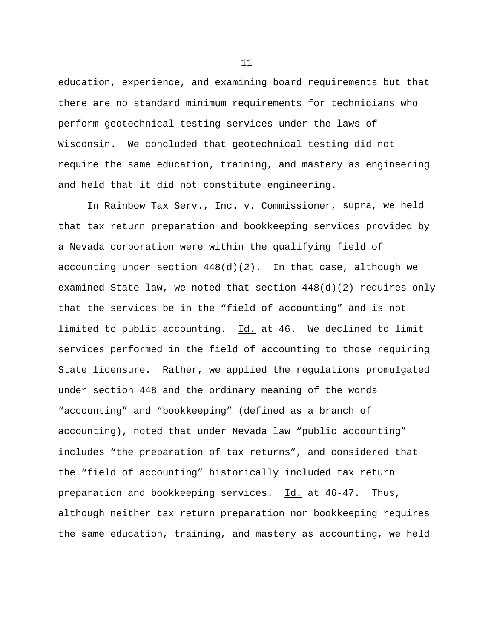education, experience, and examining board requirements but that there are no standard minimum requirements for technicians who perform geotechnical testing services under the laws of Wisconsin. We concluded that geotechnical testing did not require the same education, training, and mastery as engineering and held that it did not constitute engineering.

In Rainbow Tax Serv., Inc. v. Commissioner, supra, we held that tax return preparation and bookkeeping services provided by a Nevada corporation were within the qualifying field of accounting under section  $448(d)(2)$ . In that case, although we examined State law, we noted that section 448(d)(2) requires only that the services be in the "field of accounting" and is not limited to public accounting. Id. at 46. We declined to limit services performed in the field of accounting to those requiring State licensure. Rather, we applied the regulations promulgated under section 448 and the ordinary meaning of the words "accounting" and "bookkeeping" (defined as a branch of accounting), noted that under Nevada law "public accounting" includes "the preparation of tax returns", and considered that the "field of accounting" historically included tax return preparation and bookkeeping services. Id. at 46-47. Thus, although neither tax return preparation nor bookkeeping requires the same education, training, and mastery as accounting, we held

 $- 11 -$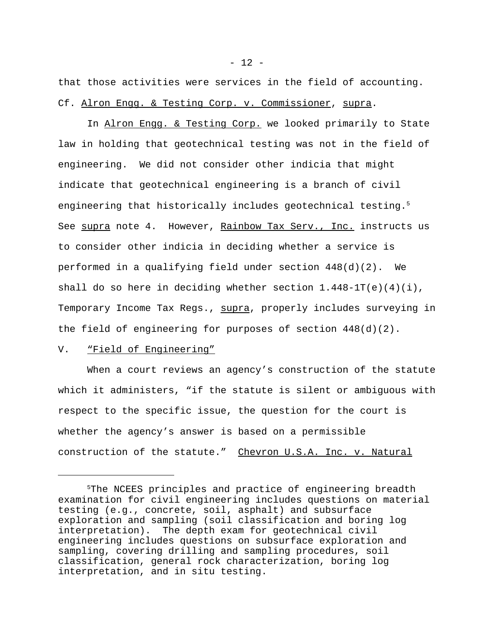that those activities were services in the field of accounting. Cf. Alron Engg. & Testing Corp. v. Commissioner, supra.

In Alron Engg. & Testing Corp. we looked primarily to State law in holding that geotechnical testing was not in the field of engineering. We did not consider other indicia that might indicate that geotechnical engineering is a branch of civil engineering that historically includes geotechnical testing.<sup>5</sup> See supra note 4. However, Rainbow Tax Serv., Inc. instructs us to consider other indicia in deciding whether a service is performed in a qualifying field under section 448(d)(2). We shall do so here in deciding whether section 1.448-1T(e)(4)(i), Temporary Income Tax Regs., supra, properly includes surveying in the field of engineering for purposes of section 448(d)(2).

### V. "Field of Engineering"

When a court reviews an agency's construction of the statute which it administers, "if the statute is silent or ambiguous with respect to the specific issue, the question for the court is whether the agency's answer is based on a permissible construction of the statute." Chevron U.S.A. Inc. v. Natural

<sup>&</sup>lt;sup>5</sup>The NCEES principles and practice of engineering breadth examination for civil engineering includes questions on material testing (e.g., concrete, soil, asphalt) and subsurface exploration and sampling (soil classification and boring log interpretation). The depth exam for geotechnical civil engineering includes questions on subsurface exploration and sampling, covering drilling and sampling procedures, soil classification, general rock characterization, boring log interpretation, and in situ testing.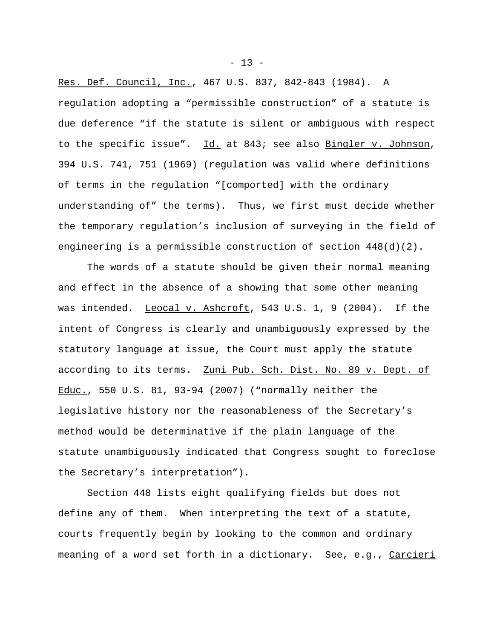Res. Def. Council, Inc., 467 U.S. 837, 842-843 (1984). A regulation adopting a "permissible construction" of a statute is due deference "if the statute is silent or ambiguous with respect to the specific issue". Id. at 843; see also Bingler v. Johnson, 394 U.S. 741, 751 (1969) (regulation was valid where definitions of terms in the regulation "[comported] with the ordinary understanding of" the terms). Thus, we first must decide whether the temporary regulation's inclusion of surveying in the field of engineering is a permissible construction of section 448(d)(2).

The words of a statute should be given their normal meaning and effect in the absence of a showing that some other meaning was intended. Leocal v. Ashcroft, 543 U.S. 1, 9 (2004). If the intent of Congress is clearly and unambiguously expressed by the statutory language at issue, the Court must apply the statute according to its terms. Zuni Pub. Sch. Dist. No. 89 v. Dept. of Educ., 550 U.S. 81, 93-94 (2007) ("normally neither the legislative history nor the reasonableness of the Secretary's method would be determinative if the plain language of the statute unambiguously indicated that Congress sought to foreclose the Secretary's interpretation").

Section 448 lists eight qualifying fields but does not define any of them. When interpreting the text of a statute, courts frequently begin by looking to the common and ordinary meaning of a word set forth in a dictionary. See, e.g., Carcieri

 $- 13 -$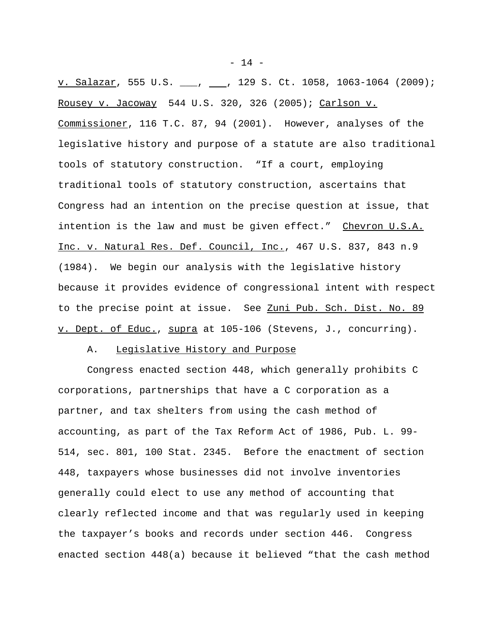$\underline{v. }$  Salazar, 555 U.S. \_\_, \_\_, 129 S. Ct. 1058, 1063-1064 (2009); Rousey v. Jacoway 544 U.S. 320, 326 (2005); Carlson v. Commissioner, 116 T.C. 87, 94 (2001). However, analyses of the legislative history and purpose of a statute are also traditional tools of statutory construction. "If a court, employing traditional tools of statutory construction, ascertains that Congress had an intention on the precise question at issue, that intention is the law and must be given effect." Chevron U.S.A. Inc. v. Natural Res. Def. Council, Inc., 467 U.S. 837, 843 n.9 (1984). We begin our analysis with the legislative history because it provides evidence of congressional intent with respect to the precise point at issue. See Zuni Pub. Sch. Dist. No. 89 v. Dept. of Educ., supra at 105-106 (Stevens, J., concurring).

### A. Legislative History and Purpose

Congress enacted section 448, which generally prohibits C corporations, partnerships that have a C corporation as a partner, and tax shelters from using the cash method of accounting, as part of the Tax Reform Act of 1986, Pub. L. 99- 514, sec. 801, 100 Stat. 2345. Before the enactment of section 448, taxpayers whose businesses did not involve inventories generally could elect to use any method of accounting that clearly reflected income and that was regularly used in keeping the taxpayer's books and records under section 446. Congress enacted section 448(a) because it believed "that the cash method

 $- 14 -$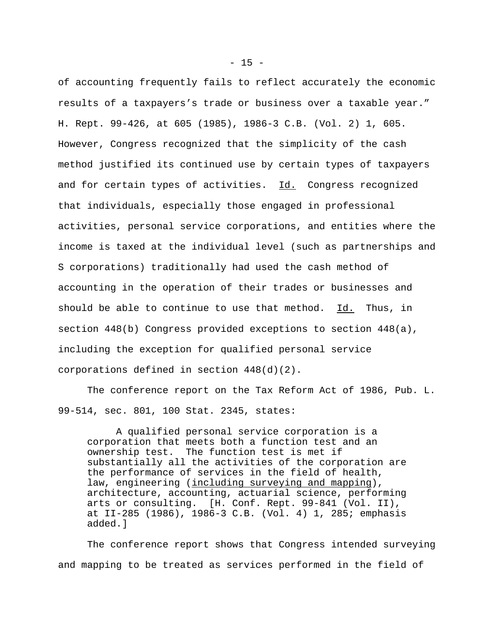of accounting frequently fails to reflect accurately the economic results of a taxpayers's trade or business over a taxable year." H. Rept. 99-426, at 605 (1985), 1986-3 C.B. (Vol. 2) 1, 605. However, Congress recognized that the simplicity of the cash method justified its continued use by certain types of taxpayers and for certain types of activities. Id. Congress recognized that individuals, especially those engaged in professional activities, personal service corporations, and entities where the income is taxed at the individual level (such as partnerships and S corporations) traditionally had used the cash method of accounting in the operation of their trades or businesses and should be able to continue to use that method. Id. Thus, in section 448(b) Congress provided exceptions to section 448(a), including the exception for qualified personal service corporations defined in section 448(d)(2).

The conference report on the Tax Reform Act of 1986, Pub. L. 99-514, sec. 801, 100 Stat. 2345, states:

A qualified personal service corporation is a corporation that meets both a function test and an ownership test. The function test is met if substantially all the activities of the corporation are the performance of services in the field of health, law, engineering (including surveying and mapping), architecture, accounting, actuarial science, performing arts or consulting. [H. Conf. Rept. 99-841 (Vol. II), at II-285 (1986), 1986-3 C.B. (Vol. 4) 1, 285; emphasis added.]

The conference report shows that Congress intended surveying and mapping to be treated as services performed in the field of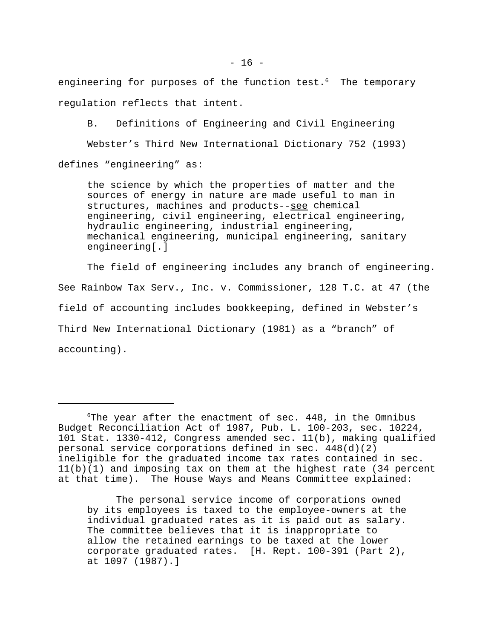engineering for purposes of the function test.<sup>6</sup> The temporary regulation reflects that intent.

B. Definitions of Engineering and Civil Engineering

Webster's Third New International Dictionary 752 (1993) defines "engineering" as:

the science by which the properties of matter and the sources of energy in nature are made useful to man in structures, machines and products--see chemical engineering, civil engineering, electrical engineering, hydraulic engineering, industrial engineering, mechanical engineering, municipal engineering, sanitary engineering[.]

The field of engineering includes any branch of engineering. See Rainbow Tax Serv., Inc. v. Commissioner, 128 T.C. at 47 (the field of accounting includes bookkeeping, defined in Webster's Third New International Dictionary (1981) as a "branch" of accounting).

The personal service income of corporations owned by its employees is taxed to the employee-owners at the individual graduated rates as it is paid out as salary. The committee believes that it is inappropriate to allow the retained earnings to be taxed at the lower corporate graduated rates. [H. Rept. 100-391 (Part 2), at 1097 (1987).]

 $6$ The year after the enactment of sec. 448, in the Omnibus Budget Reconciliation Act of 1987, Pub. L. 100-203, sec. 10224, 101 Stat. 1330-412, Congress amended sec. 11(b), making qualified personal service corporations defined in sec. 448(d)(2) ineligible for the graduated income tax rates contained in sec. 11(b)(1) and imposing tax on them at the highest rate (34 percent at that time). The House Ways and Means Committee explained: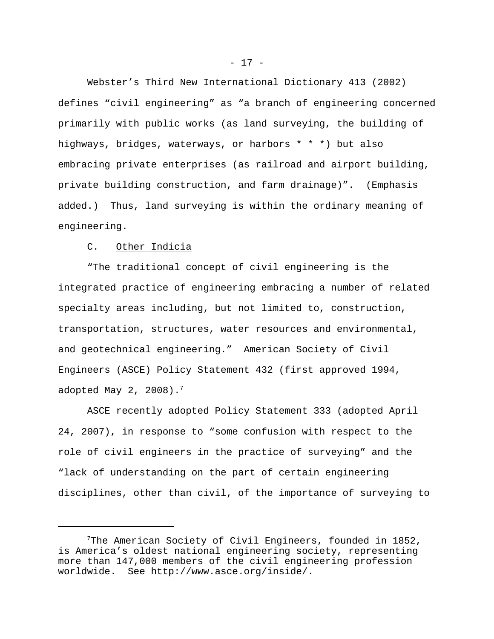Webster's Third New International Dictionary 413 (2002) defines "civil engineering" as "a branch of engineering concerned primarily with public works (as land surveying, the building of highways, bridges, waterways, or harbors \* \* \*) but also embracing private enterprises (as railroad and airport building, private building construction, and farm drainage)". (Emphasis added.) Thus, land surveying is within the ordinary meaning of engineering.

# C. Other Indicia

"The traditional concept of civil engineering is the integrated practice of engineering embracing a number of related specialty areas including, but not limited to, construction, transportation, structures, water resources and environmental, and geotechnical engineering." American Society of Civil Engineers (ASCE) Policy Statement 432 (first approved 1994, adopted May 2, 2008).<sup>7</sup>

ASCE recently adopted Policy Statement 333 (adopted April 24, 2007), in response to "some confusion with respect to the role of civil engineers in the practice of surveying" and the "lack of understanding on the part of certain engineering disciplines, other than civil, of the importance of surveying to

- 17 -

<sup>7</sup>The American Society of Civil Engineers, founded in 1852, is America's oldest national engineering society, representing more than 147,000 members of the civil engineering profession worldwide. See http://www.asce.org/inside/.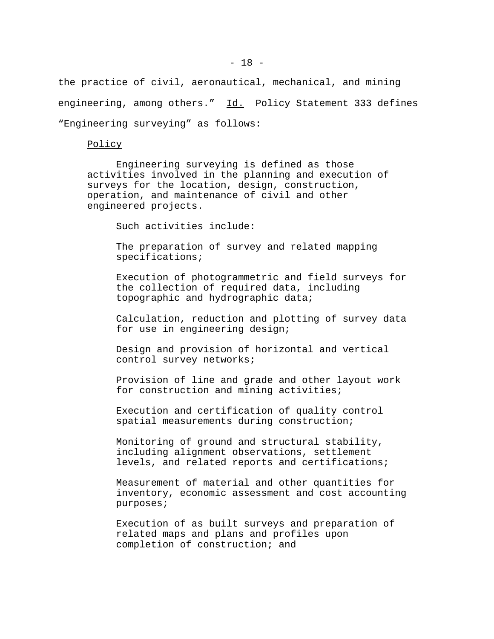the practice of civil, aeronautical, mechanical, and mining engineering, among others." Id. Policy Statement 333 defines "Engineering surveying" as follows:

Policy

Engineering surveying is defined as those activities involved in the planning and execution of surveys for the location, design, construction, operation, and maintenance of civil and other engineered projects.

Such activities include:

The preparation of survey and related mapping specifications;

Execution of photogrammetric and field surveys for the collection of required data, including topographic and hydrographic data;

Calculation, reduction and plotting of survey data for use in engineering design;

Design and provision of horizontal and vertical control survey networks;

Provision of line and grade and other layout work for construction and mining activities;

Execution and certification of quality control spatial measurements during construction;

Monitoring of ground and structural stability, including alignment observations, settlement levels, and related reports and certifications;

Measurement of material and other quantities for inventory, economic assessment and cost accounting purposes;

Execution of as built surveys and preparation of related maps and plans and profiles upon completion of construction; and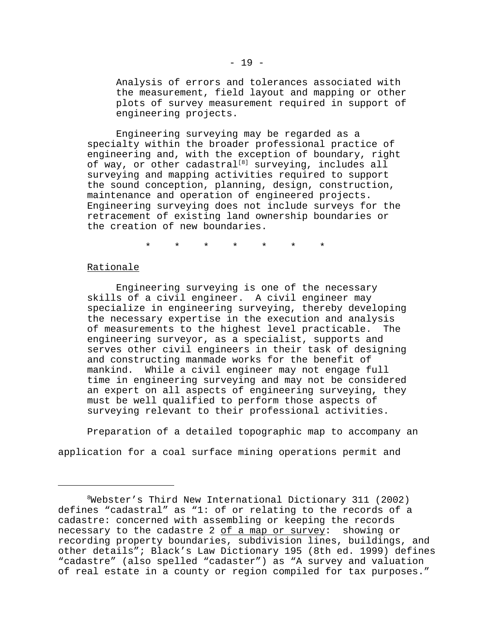Analysis of errors and tolerances associated with the measurement, field layout and mapping or other plots of survey measurement required in support of engineering projects.

Engineering surveying may be regarded as a specialty within the broader professional practice of engineering and, with the exception of boundary, right of way, or other cadastral<sup>[8]</sup> surveying, includes all surveying and mapping activities required to support the sound conception, planning, design, construction, maintenance and operation of engineered projects. Engineering surveying does not include surveys for the retracement of existing land ownership boundaries or the creation of new boundaries.

\* \* \* \* \* \* \*

### Rationale

Engineering surveying is one of the necessary skills of a civil engineer. A civil engineer may specialize in engineering surveying, thereby developing the necessary expertise in the execution and analysis of measurements to the highest level practicable. The engineering surveyor, as a specialist, supports and serves other civil engineers in their task of designing and constructing manmade works for the benefit of mankind. While a civil engineer may not engage full time in engineering surveying and may not be considered an expert on all aspects of engineering surveying, they must be well qualified to perform those aspects of surveying relevant to their professional activities.

Preparation of a detailed topographic map to accompany an

application for a coal surface mining operations permit and

<sup>8</sup>Webster's Third New International Dictionary 311 (2002) defines "cadastral" as "1: of or relating to the records of a cadastre: concerned with assembling or keeping the records necessary to the cadastre 2  $of$  a map or survey: showing or recording property boundaries, subdivision lines, buildings, and other details"; Black's Law Dictionary 195 (8th ed. 1999) defines "cadastre" (also spelled "cadaster") as "A survey and valuation of real estate in a county or region compiled for tax purposes."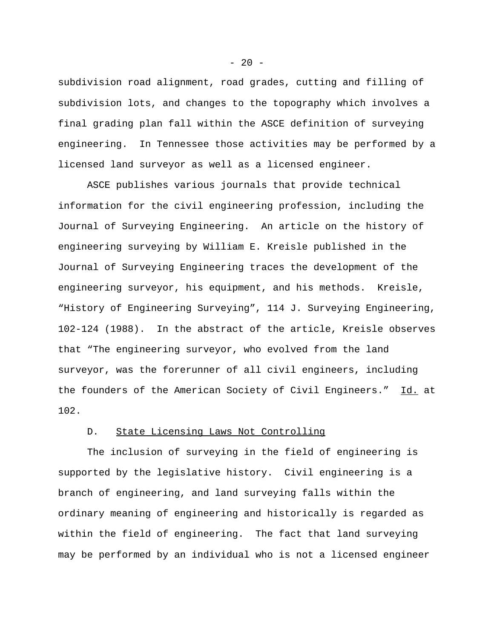subdivision road alignment, road grades, cutting and filling of subdivision lots, and changes to the topography which involves a final grading plan fall within the ASCE definition of surveying engineering. In Tennessee those activities may be performed by a licensed land surveyor as well as a licensed engineer.

ASCE publishes various journals that provide technical information for the civil engineering profession, including the Journal of Surveying Engineering. An article on the history of engineering surveying by William E. Kreisle published in the Journal of Surveying Engineering traces the development of the engineering surveyor, his equipment, and his methods. Kreisle, "History of Engineering Surveying", 114 J. Surveying Engineering, 102-124 (1988). In the abstract of the article, Kreisle observes that "The engineering surveyor, who evolved from the land surveyor, was the forerunner of all civil engineers, including the founders of the American Society of Civil Engineers." Id. at 102.

# D. State Licensing Laws Not Controlling

The inclusion of surveying in the field of engineering is supported by the legislative history. Civil engineering is a branch of engineering, and land surveying falls within the ordinary meaning of engineering and historically is regarded as within the field of engineering. The fact that land surveying may be performed by an individual who is not a licensed engineer

 $- 20 -$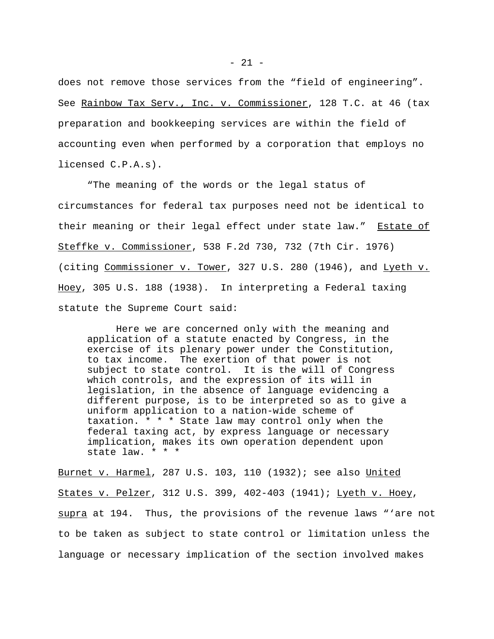does not remove those services from the "field of engineering". See Rainbow Tax Serv., Inc. v. Commissioner, 128 T.C. at 46 (tax preparation and bookkeeping services are within the field of accounting even when performed by a corporation that employs no licensed C.P.A.s).

"The meaning of the words or the legal status of circumstances for federal tax purposes need not be identical to their meaning or their legal effect under state law." Estate of Steffke v. Commissioner, 538 F.2d 730, 732 (7th Cir. 1976) (citing Commissioner v. Tower, 327 U.S. 280 (1946), and Lyeth v. Hoey, 305 U.S. 188 (1938). In interpreting a Federal taxing statute the Supreme Court said:

Here we are concerned only with the meaning and application of a statute enacted by Congress, in the exercise of its plenary power under the Constitution, to tax income. The exertion of that power is not subject to state control. It is the will of Congress which controls, and the expression of its will in legislation, in the absence of language evidencing a different purpose, is to be interpreted so as to give a uniform application to a nation-wide scheme of taxation. \* \* \* State law may control only when the federal taxing act, by express language or necessary implication, makes its own operation dependent upon state law. \* \* \*

Burnet v. Harmel, 287 U.S. 103, 110 (1932); see also United States v. Pelzer, 312 U.S. 399, 402-403 (1941); Lyeth v. Hoey, supra at 194. Thus, the provisions of the revenue laws "'are not to be taken as subject to state control or limitation unless the language or necessary implication of the section involved makes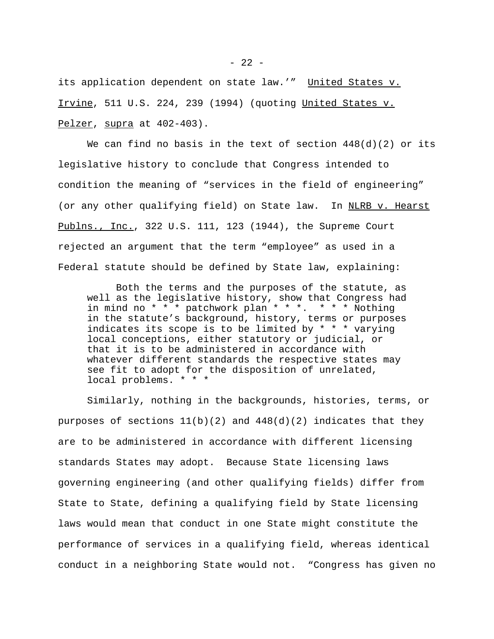its application dependent on state law.'" United States v. Irvine, 511 U.S. 224, 239 (1994) (quoting United States v. Pelzer, supra at 402-403).

We can find no basis in the text of section  $448(d)(2)$  or its legislative history to conclude that Congress intended to condition the meaning of "services in the field of engineering" (or any other qualifying field) on State law. In NLRB v. Hearst Publns., Inc., 322 U.S. 111, 123 (1944), the Supreme Court rejected an argument that the term "employee" as used in a Federal statute should be defined by State law, explaining:

Both the terms and the purposes of the statute, as well as the legislative history, show that Congress had in mind no \* \* \* patchwork plan \* \* \*. \* \* \* Nothing in the statute's background, history, terms or purposes indicates its scope is to be limited by \* \* \* varying local conceptions, either statutory or judicial, or that it is to be administered in accordance with whatever different standards the respective states may see fit to adopt for the disposition of unrelated, local problems. \* \* \*

Similarly, nothing in the backgrounds, histories, terms, or purposes of sections  $11(b)(2)$  and  $448(d)(2)$  indicates that they are to be administered in accordance with different licensing standards States may adopt. Because State licensing laws governing engineering (and other qualifying fields) differ from State to State, defining a qualifying field by State licensing laws would mean that conduct in one State might constitute the performance of services in a qualifying field, whereas identical conduct in a neighboring State would not. "Congress has given no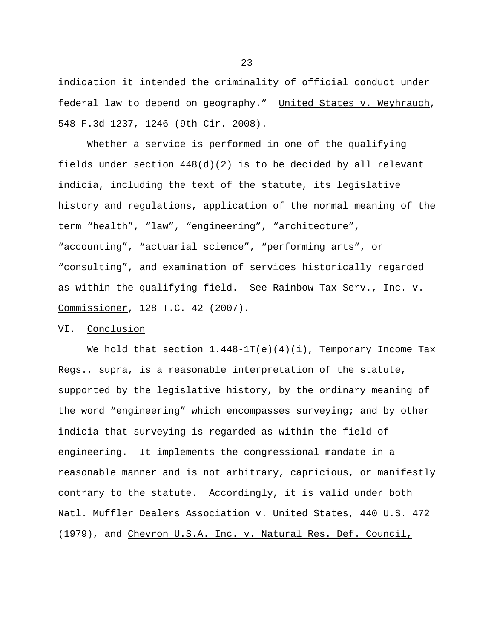indication it intended the criminality of official conduct under federal law to depend on geography." United States v. Weyhrauch, 548 F.3d 1237, 1246 (9th Cir. 2008).

Whether a service is performed in one of the qualifying fields under section  $448(d)(2)$  is to be decided by all relevant indicia, including the text of the statute, its legislative history and regulations, application of the normal meaning of the term "health", "law", "engineering", "architecture", "accounting", "actuarial science", "performing arts", or "consulting", and examination of services historically regarded as within the qualifying field. See Rainbow Tax Serv., Inc. v. Commissioner, 128 T.C. 42 (2007).

## VI. Conclusion

We hold that section  $1.448-1T(e)(4)(i)$ , Temporary Income Tax Regs., supra, is a reasonable interpretation of the statute, supported by the legislative history, by the ordinary meaning of the word "engineering" which encompasses surveying; and by other indicia that surveying is regarded as within the field of engineering. It implements the congressional mandate in a reasonable manner and is not arbitrary, capricious, or manifestly contrary to the statute. Accordingly, it is valid under both Natl. Muffler Dealers Association v. United States, 440 U.S. 472 (1979), and Chevron U.S.A. Inc. v. Natural Res. Def. Council,

 $- 23 -$